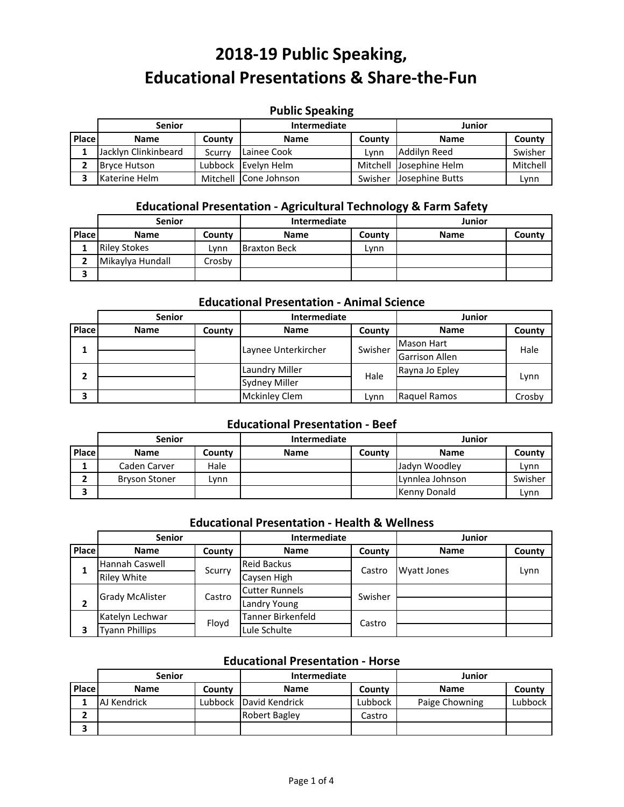# **Public Speaking**

|       | <b>Senior</b>        |        | Intermediate          |         | Junior                  |          |
|-------|----------------------|--------|-----------------------|---------|-------------------------|----------|
| Place | <b>Name</b>          | County | <b>Name</b>           | County  | <b>Name</b>             | County   |
|       | Jacklyn Clinkinbeard | Scurry | Lainee Cook           | Lvnn    | Addilyn Reed            | Swisher  |
|       | <b>Bryce Hutson</b>  |        | Lubbock Evelyn Helm   |         | Mitchell Josephine Helm | Mitchell |
|       | Katerine Helm        |        | Mitchell Cone Johnson | Swisher | Josephine Butts         | Lvnn     |

#### **Educational Presentation ‐ Agricultural Technology & Farm Safety**

|              | <b>Senior</b>       |        | <b>Intermediate</b> |        | Junior      |        |
|--------------|---------------------|--------|---------------------|--------|-------------|--------|
| <b>Place</b> | <b>Name</b>         | County | <b>Name</b>         | County | <b>Name</b> | County |
|              | <b>Riley Stokes</b> | Lvnn   | <b>Braxton Beck</b> | Lvnn   |             |        |
|              | Mikaylya Hundall    | Crosbv |                     |        |             |        |
|              |                     |        |                     |        |             |        |

#### **Educational Presentation ‐ Animal Science**

|       | <b>Senior</b> |        | <b>Intermediate</b>  |                   |                       | Junior |  |
|-------|---------------|--------|----------------------|-------------------|-----------------------|--------|--|
| Place | <b>Name</b>   | County | <b>Name</b>          | County            | <b>Name</b>           | County |  |
|       |               |        | Swisher              | <b>Mason Hart</b> | Hale                  |        |  |
|       |               |        | Laynee Unterkircher  |                   | <b>Garrison Allen</b> |        |  |
| 2     |               |        | Laundry Miller       | Hale              | Rayna Jo Epley        |        |  |
|       |               |        | <b>Sydney Miller</b> |                   |                       | Lynn   |  |
| 3     |               |        | <b>Mckinley Clem</b> | Lvnn              | Raquel Ramos          | Crosby |  |

#### **Educational Presentation ‐ Beef**

|              | <b>Senior</b>        |        | <b>Intermediate</b> |        | Junior          |         |
|--------------|----------------------|--------|---------------------|--------|-----------------|---------|
| <b>Place</b> | <b>Name</b>          | County | <b>Name</b>         | County | <b>Name</b>     | County  |
|              | Caden Carver         | Hale   |                     |        | Jadyn Woodley   | Lvnn    |
|              | <b>Bryson Stoner</b> | Lvnn   |                     |        | Lynnlea Johnson | Swisher |
|              |                      |        |                     |        | Kenny Donald    | Lynn    |

### **Educational Presentation ‐ Health & Wellness**

|       | <b>Senior</b>                               |        | <b>Intermediate</b>   |         | Junior             |        |
|-------|---------------------------------------------|--------|-----------------------|---------|--------------------|--------|
| Place | <b>Name</b>                                 | County | <b>Name</b>           | County  | <b>Name</b>        | County |
| 1     | <b>Hannah Caswell</b>                       | Scurry | <b>Reid Backus</b>    | Castro  | <b>Wyatt Jones</b> | Lynn   |
|       | <b>Riley White</b>                          |        | Caysen High           |         |                    |        |
|       | <b>Grady McAlister</b>                      | Castro | <b>Cutter Runnels</b> | Swisher |                    |        |
| 2     |                                             |        | <b>Landry Young</b>   |         |                    |        |
|       | <b>Tanner Birkenfeld</b><br>Katelyn Lechwar | Castro |                       |         |                    |        |
|       | <b>Tyann Phillips</b>                       | Floyd  | Lule Schulte          |         |                    |        |

#### **Educational Presentation ‐ Horse**

|       | <b>Senior</b> |         | <b>Intermediate</b>  |         | Junior         |         |
|-------|---------------|---------|----------------------|---------|----------------|---------|
| Place | <b>Name</b>   | County  | <b>Name</b>          | County  | <b>Name</b>    | County  |
|       | AJ Kendrick   | Lubbock | David Kendrick       | Lubbock | Paige Chowning | Lubbock |
|       |               |         | <b>Robert Bagley</b> | Castro  |                |         |
|       |               |         |                      |         |                |         |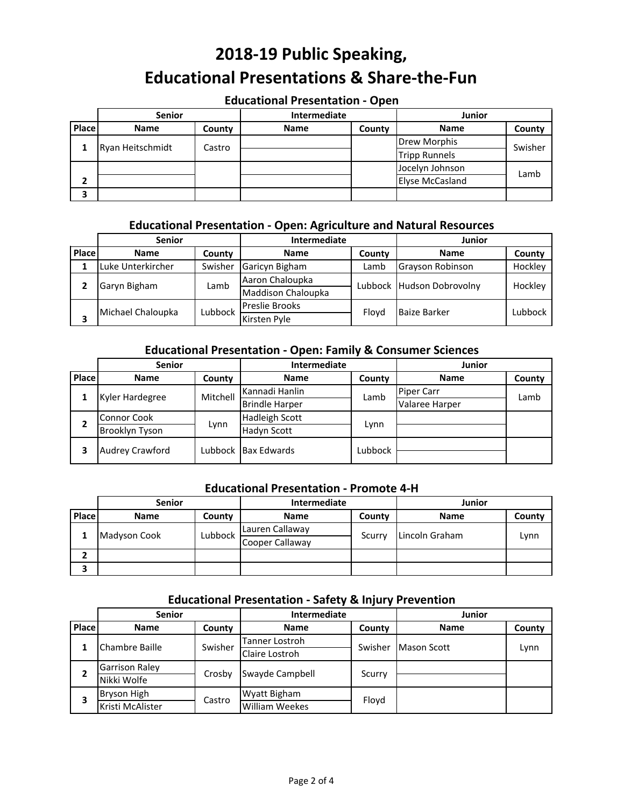#### **Educational Presentation ‐ Open**

|       | <b>Senior</b>    |        | Intermediate |        | <b>Junior</b>          |         |
|-------|------------------|--------|--------------|--------|------------------------|---------|
| Place | <b>Name</b>      | County | <b>Name</b>  | County | <b>Name</b>            | County  |
|       |                  |        |              |        | <b>Drew Morphis</b>    | Swisher |
|       | Ryan Heitschmidt | Castro |              |        | <b>Tripp Runnels</b>   |         |
|       |                  |        |              |        | Jocelyn Johnson        |         |
| 2     |                  |        |              |        | <b>Elyse McCasland</b> | Lamb    |
|       |                  |        |              |        |                        |         |

#### **Educational Presentation ‐ Open: Agriculture and Natural Resources**

|       | <b>Senior</b>     |                                                               | Intermediate          |        | Junior                    |         |
|-------|-------------------|---------------------------------------------------------------|-----------------------|--------|---------------------------|---------|
| Place | <b>Name</b>       | County                                                        | <b>Name</b>           | County | <b>Name</b>               | County  |
|       | Luke Unterkircher | Swisher                                                       | Garicyn Bigham        | Lamb   | Grayson Robinson          | Hockley |
|       |                   | Aaron Chaloupka<br>Garyn Bigham<br>Lamb<br>Maddison Chaloupka |                       |        | Hockley                   |         |
|       |                   |                                                               |                       |        | Lubbock Hudson Dobrovolny |         |
|       | Michael Chaloupka | Lubbock                                                       | <b>Preslie Brooks</b> | Flovd  | <b>Baize Barker</b>       | Lubbock |
|       |                   |                                                               | Kirsten Pyle          |        |                           |         |

# **Educational Presentation ‐ Open: Family & Consumer Sciences**

|       | <b>Senior</b>          |          | <b>Intermediate</b>   |         | <b>Junior</b>     |        |
|-------|------------------------|----------|-----------------------|---------|-------------------|--------|
| Place | <b>Name</b>            | County   | <b>Name</b>           | County  | <b>Name</b>       | County |
|       |                        | Mitchell | Kannadi Hanlin        | Lamb    | <b>Piper Carr</b> | Lamb   |
|       | Kyler Hardegree        |          | <b>Brindle Harper</b> |         | Valaree Harper    |        |
| 2     | <b>Connor Cook</b>     |          | <b>Hadleigh Scott</b> |         |                   |        |
|       | Brooklyn Tyson         | Lynn     | <b>Hadyn Scott</b>    | Lynn    |                   |        |
| 3     | <b>Audrey Crawford</b> |          | Lubbock IBax Edwards  | Lubbock |                   |        |

#### **Educational Presentation ‐ Promote 4‐H**

|       | <b>Senior</b>             |         | <b>Intermediate</b> |        | Junior         |        |
|-------|---------------------------|---------|---------------------|--------|----------------|--------|
| Place | <b>Name</b>               | County  | <b>Name</b>         | County | <b>Name</b>    | County |
|       | <b>Madyson Cook</b><br>л. | Lubbock | Lauren Callaway     | Scurry | Lincoln Graham |        |
|       |                           |         | Cooper Callaway     |        |                | Lynn   |
|       |                           |         |                     |        |                |        |
|       |                           |         |                     |        |                |        |

#### **Educational Presentation ‐ Safety & Injury Prevention**

|       | <b>Senior</b>         |                                                                          | Intermediate          |        | <b>Junior</b> |        |
|-------|-----------------------|--------------------------------------------------------------------------|-----------------------|--------|---------------|--------|
| Place | <b>Name</b>           | County                                                                   | <b>Name</b>           | County | <b>Name</b>   | County |
|       |                       | Tanner Lostroh<br>Swisher<br>Chambre Baille<br>Swisher<br>Claire Lostroh | <b>Mason Scott</b>    |        |               |        |
|       |                       |                                                                          |                       |        |               | Lynn   |
| 2     | <b>Garrison Raley</b> |                                                                          | Swayde Campbell       | Scurry |               |        |
|       | Nikki Wolfe           | Crosby                                                                   |                       |        |               |        |
|       | <b>Bryson High</b>    | Castro                                                                   | Wyatt Bigham          | Floyd  |               |        |
| 3     | Kristi McAlister      |                                                                          | <b>William Weekes</b> |        |               |        |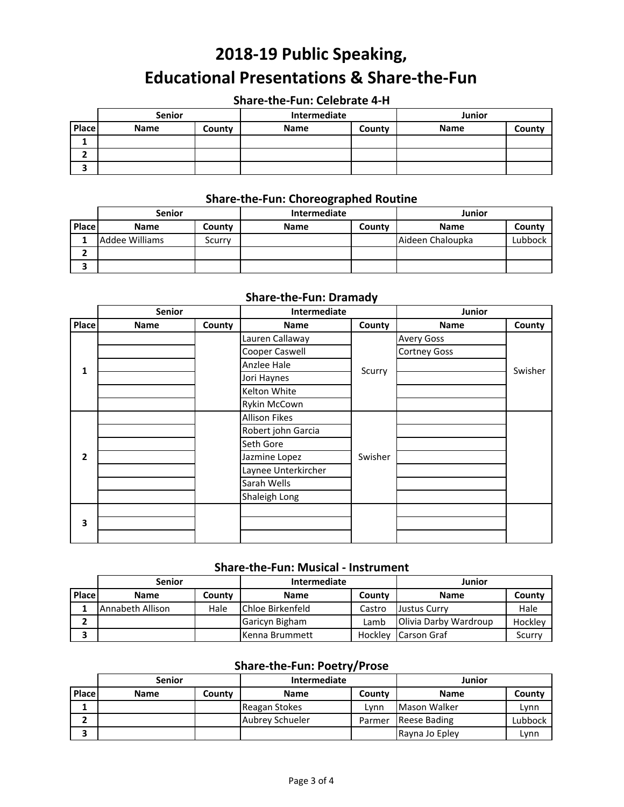## **Share‐the‐Fun: Celebrate 4‐H**

|       | <b>Senior</b> |        | Intermediate |        | Junior      |        |
|-------|---------------|--------|--------------|--------|-------------|--------|
| Place | <b>Name</b>   | County | <b>Name</b>  | County | <b>Name</b> | County |
|       |               |        |              |        |             |        |
|       |               |        |              |        |             |        |
|       |               |        |              |        |             |        |

# **Share‐the‐Fun: Choreographed Routine**

|       | <b>Senior</b>  |        | <b>Intermediate</b> |        | Junior           |         |
|-------|----------------|--------|---------------------|--------|------------------|---------|
| Place | <b>Name</b>    | County | <b>Name</b>         | County | <b>Name</b>      | County  |
|       | Addee Williams | Scurry |                     |        | Aideen Chaloupka | Lubbock |
|       |                |        |                     |        |                  |         |
|       |                |        |                     |        |                  |         |

#### **Share‐the‐Fun: Dramady**

|                | <b>Senior</b> |        | Intermediate         |         | Junior              |         |
|----------------|---------------|--------|----------------------|---------|---------------------|---------|
| Place          | <b>Name</b>   | County | <b>Name</b>          | County  | Name                | County  |
|                |               |        | Lauren Callaway      |         | <b>Avery Goss</b>   |         |
|                |               |        | Cooper Caswell       |         | <b>Cortney Goss</b> |         |
| 1              |               |        | Anzlee Hale          |         |                     | Swisher |
|                |               |        | Jori Haynes          | Scurry  |                     |         |
|                |               |        | Kelton White         |         |                     |         |
|                |               |        | Rykin McCown         |         |                     |         |
|                |               |        | <b>Allison Fikes</b> |         |                     |         |
|                |               |        | Robert john Garcia   |         |                     |         |
|                |               |        | Seth Gore            |         |                     |         |
| $\overline{2}$ |               |        | Jazmine Lopez        | Swisher |                     |         |
|                |               |        | Laynee Unterkircher  |         |                     |         |
|                |               |        | Sarah Wells          |         |                     |         |
|                |               |        | Shaleigh Long        |         |                     |         |
|                |               |        |                      |         |                     |         |
| 3              |               |        |                      |         |                     |         |
|                |               |        |                      |         |                     |         |

### **Share‐the‐Fun: Musical ‐ Instrument**

|        | <b>Senior</b>    |        | Intermediate             |         | Junior                        |         |
|--------|------------------|--------|--------------------------|---------|-------------------------------|---------|
| Place. | <b>Name</b>      | County | <b>Name</b>              | County  | <b>Name</b>                   | County  |
|        | Annabeth Allison | Hale   | <b>IChloe Birkenfeld</b> | Castro  | <b>Justus Curry</b>           | Hale    |
|        |                  |        | Garicyn Bigham           | Lamb    | <b>IOlivia Darby Wardroup</b> | Hockley |
|        |                  |        | <b>Kenna Brummett</b>    | Hockley | <b>Carson Graf</b>            | Scurry  |

## **Share‐the‐Fun: Poetry/Prose**

|       | <b>Senior</b> |        | <b>Intermediate</b>    |        | Junior              |         |
|-------|---------------|--------|------------------------|--------|---------------------|---------|
| Place | <b>Name</b>   | County | <b>Name</b>            | County | <b>Name</b>         | County  |
|       |               |        | Reagan Stokes          | Lvnn   | Mason Walker        | Lynn    |
|       |               |        | <b>Aubrey Schueler</b> | Parmer | <b>Reese Bading</b> | Lubbock |
|       |               |        |                        |        | Rayna Jo Epley      | Lynn    |